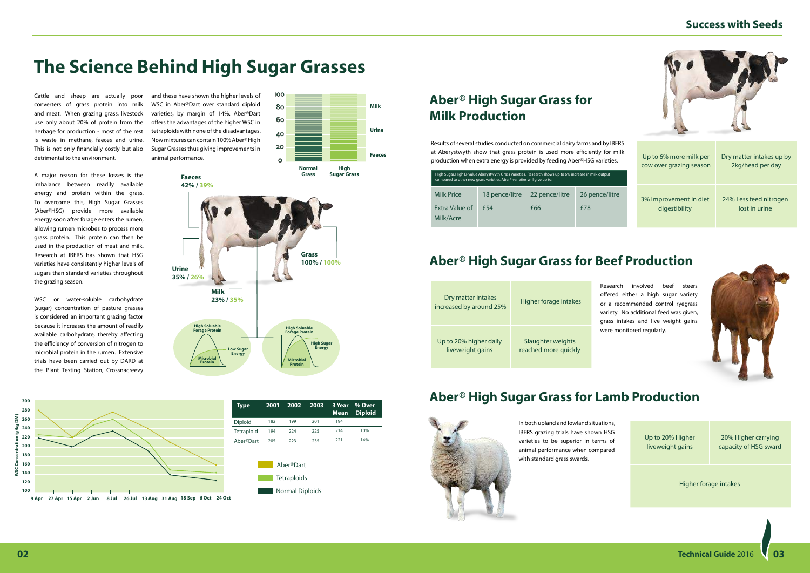| Dry matter intakes<br>increased by around 25% | Higher forage intakes                     | Resea<br>offer<br>or a<br>varie<br>grass |  |
|-----------------------------------------------|-------------------------------------------|------------------------------------------|--|
| Up to 20% higher daily<br>liveweight gains    | Slaughter weights<br>reached more quickly | were                                     |  |

## **Aber**® **High Sugar Grass for Beef Production**

# **The Science Behind High Sugar Grasses**

## **Success with Seeds**



Cattle and sheep are actually poor converters of grass protein into milk and meat. When grazing grass, livestock use only about 20% of protein from the herbage for production - most of the rest is waste in methane, faeces and urine. This is not only financially costly but also detrimental to the environment.

A major reason for these losses is the imbalance between readily available energy and protein within the grass. To overcome this, High Sugar Grasses (Aber®HSG) provide more available energy soon after forage enters the rumen, allowing rumen microbes to process more grass protein. This protein can then be used in the production of meat and milk. Research at IBERS has shown that HSG varieties have consistently higher levels of sugars than standard varieties throughout the grazing season.

WSC or water-soluble carbohydrate (sugar) concentration of pasture grasses is considered an important grazing factor because it increases the amount of readily available carbohydrate, thereby affecting the efficiency of conversion of nitrogen to microbial protein in the rumen. Extensive trials have been carried out by DARD at the Plant Testing Station, Crossnacreevy







# **Aber**® **High Sugar Grass for Milk Production**

Results of several studies conducted on commercial dairy farms and by IBERS at Aberystwyth show that grass protein is used more efficiently for milk production when extra energy is provided by feeding Aber®HSG varieties.

| High Sugar, High D-value Aberystwyth Grass Varieties. Research shows up to 6% increase in milk output<br>compared to other new grass varieties. Aber <sup>®</sup> varieties will give up to: |                |                |                |  |  |  |  |  |
|----------------------------------------------------------------------------------------------------------------------------------------------------------------------------------------------|----------------|----------------|----------------|--|--|--|--|--|
| Milk Price                                                                                                                                                                                   | 18 pence/litre | 22 pence/litre | 26 pence/litre |  |  |  |  |  |
| Extra Value of<br>Milk/Acre                                                                                                                                                                  | f54            | £66            | f78            |  |  |  |  |  |

Up to 6% more milk per cow over grazing season

3% Improvement in diet digestibility

Dry matter intakes up by 2kg/head per day

24% Less feed nitrogen lost in urine

arch involved beef steers ed either a high sugar variety recommended control ryegrass ty. No additional feed was given, intakes and live weight gains monitored regularly.



Up to 20% Higher liveweight gains

Higher forage intakes

20% Higher carrying capacity of HSG sward

## **Aber**® **High Sugar Grass for Lamb Production**



In both upland and lowland situations, IBERS grazing trials have shown HSG varieties to be superior in terms of animal performance when compared with standard grass swards.







**02 Technical Guide** 2016